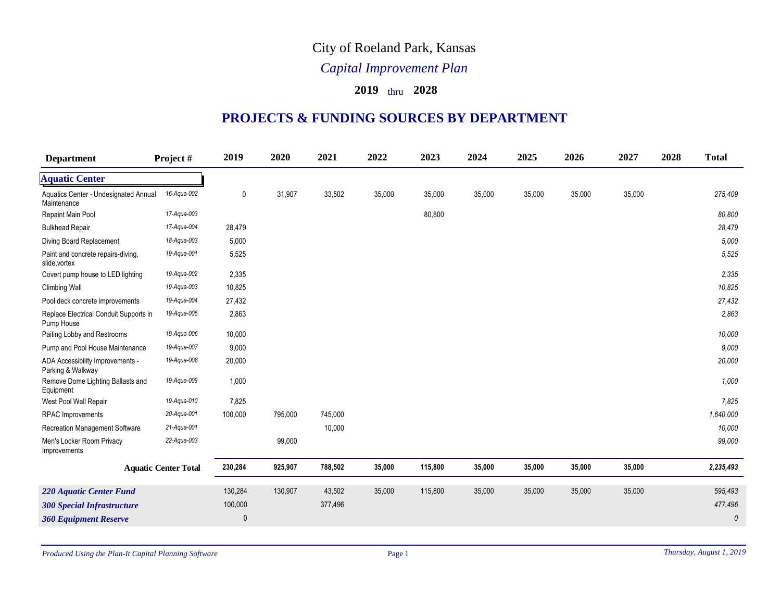## City of Roeland Park, Kansas

## *Capital Improvement Plan*

## **2019** thru **2028**

## **PROJECTS & FUNDING SOURCES BY DEPARTMENT**

| <b>Department</b>                                     | Project#                    | 2019     | 2020    | 2021    | 2022   | 2023    | 2024   | 2025   | 2026   | 2027   | 2028 | <b>Total</b> |
|-------------------------------------------------------|-----------------------------|----------|---------|---------|--------|---------|--------|--------|--------|--------|------|--------------|
| <b>Aquatic Center</b>                                 |                             |          |         |         |        |         |        |        |        |        |      |              |
| Aquatics Center - Undesignated Annual<br>Maintenance  | 16-Aqua-002                 | 0        | 31,907  | 33,502  | 35,000 | 35,000  | 35,000 | 35,000 | 35,000 | 35,000 |      | 275,409      |
| Repaint Main Pool                                     | 17-Aqua-003                 |          |         |         |        | 80,800  |        |        |        |        |      | 80,800       |
| <b>Bulkhead Repair</b>                                | 17-Aqua-004                 | 28,479   |         |         |        |         |        |        |        |        |      | 28,479       |
| Diving Board Replacement                              | 18-Aqua-003                 | 5,000    |         |         |        |         |        |        |        |        |      | 5,000        |
| Paint and concrete repairs-diving,<br>slide, vortex   | 19-Aqua-001                 | 5,525    |         |         |        |         |        |        |        |        |      | 5,525        |
| Covert pump house to LED lighting                     | 19-Aqua-002                 | 2,335    |         |         |        |         |        |        |        |        |      | 2,335        |
| <b>Climbing Wall</b>                                  | 19-Aqua-003                 | 10,825   |         |         |        |         |        |        |        |        |      | 10,825       |
| Pool deck concrete improvements                       | 19-Aqua-004                 | 27,432   |         |         |        |         |        |        |        |        |      | 27,432       |
| Replace Electrical Conduit Supports in<br>Pump House  | 19-Aqua-005                 | 2,863    |         |         |        |         |        |        |        |        |      | 2,863        |
| Paiting Lobby and Restrooms                           | 19-Aqua-006                 | 10,000   |         |         |        |         |        |        |        |        |      | 10,000       |
| Pump and Pool House Maintenance                       | 19-Aqua-007                 | 9,000    |         |         |        |         |        |        |        |        |      | 9,000        |
| ADA Accessibility Improvements -<br>Parking & Walkway | 19-Aqua-008                 | 20,000   |         |         |        |         |        |        |        |        |      | 20,000       |
| Remove Dome Lighting Ballasts and<br>Equipment        | 19-Aqua-009                 | 1,000    |         |         |        |         |        |        |        |        |      | 1,000        |
| West Pool Wall Repair                                 | 19-Aqua-010                 | 7,825    |         |         |        |         |        |        |        |        |      | 7,825        |
| RPAC Improvements                                     | 20-Aqua-001                 | 100,000  | 795,000 | 745,000 |        |         |        |        |        |        |      | 1,640,000    |
| Recreation Management Software                        | 21-Aqua-001                 |          |         | 10,000  |        |         |        |        |        |        |      | 10,000       |
| Men's Locker Room Privacy<br>Improvements             | 22-Aqua-003                 |          | 99,000  |         |        |         |        |        |        |        |      | 99,000       |
|                                                       | <b>Aquatic Center Total</b> | 230,284  | 925,907 | 788,502 | 35,000 | 115,800 | 35,000 | 35,000 | 35,000 | 35,000 |      | 2,235,493    |
| <b>220 Aquatic Center Fund</b>                        |                             | 130,284  | 130,907 | 43,502  | 35,000 | 115,800 | 35,000 | 35,000 | 35,000 | 35,000 |      | 595,493      |
| <b>300 Special Infrastructure</b>                     |                             | 100,000  |         | 377,496 |        |         |        |        |        |        |      | 477,496      |
| <b>360 Equipment Reserve</b>                          |                             | $\theta$ |         |         |        |         |        |        |        |        |      | $\theta$     |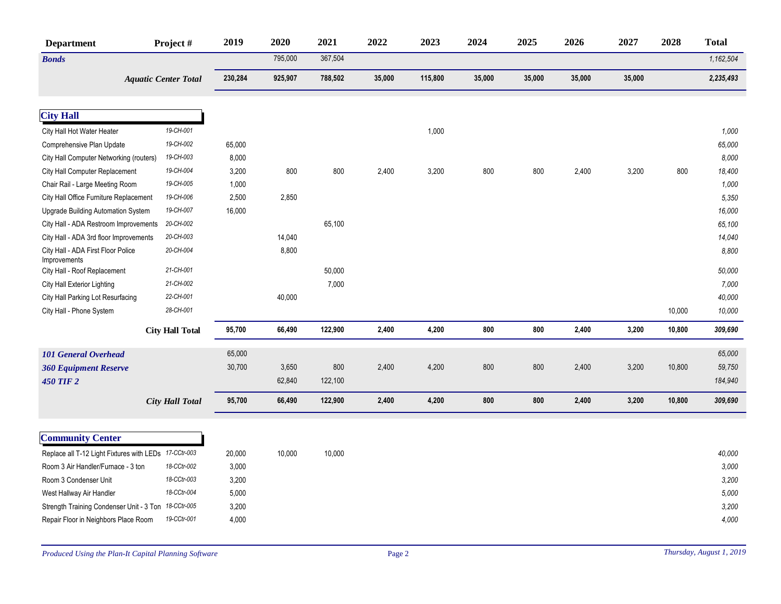| <b>Department</b>                                     | Project#                    | 2019    | 2020    | 2021    | 2022   | 2023    | 2024   | 2025   | 2026   | 2027   | 2028   | <b>Total</b> |
|-------------------------------------------------------|-----------------------------|---------|---------|---------|--------|---------|--------|--------|--------|--------|--------|--------------|
| <b>Bonds</b>                                          |                             |         | 795,000 | 367,504 |        |         |        |        |        |        |        | 1,162,504    |
|                                                       | <b>Aquatic Center Total</b> | 230,284 | 925,907 | 788,502 | 35,000 | 115,800 | 35,000 | 35,000 | 35,000 | 35,000 |        | 2,235,493    |
|                                                       |                             |         |         |         |        |         |        |        |        |        |        |              |
| <b>City Hall</b>                                      |                             |         |         |         |        |         |        |        |        |        |        |              |
| City Hall Hot Water Heater                            | 19-CH-001                   |         |         |         |        | 1,000   |        |        |        |        |        | 1,000        |
| Comprehensive Plan Update                             | 19-CH-002                   | 65,000  |         |         |        |         |        |        |        |        |        | 65,000       |
| City Hall Computer Networking (routers)               | 19-CH-003                   | 8,000   |         |         |        |         |        |        |        |        |        | 8,000        |
| City Hall Computer Replacement                        | 19-CH-004                   | 3,200   | 800     | 800     | 2,400  | 3,200   | 800    | 800    | 2,400  | 3,200  | 800    | 18,400       |
| Chair Rail - Large Meeting Room                       | 19-CH-005                   | 1,000   |         |         |        |         |        |        |        |        |        | 1,000        |
| City Hall Office Furniture Replacement                | 19-CH-006                   | 2,500   | 2,850   |         |        |         |        |        |        |        |        | 5,350        |
| <b>Upgrade Building Automation System</b>             | 19-CH-007                   | 16,000  |         |         |        |         |        |        |        |        |        | 16,000       |
| City Hall - ADA Restroom Improvements                 | 20-CH-002                   |         |         | 65,100  |        |         |        |        |        |        |        | 65,100       |
| City Hall - ADA 3rd floor Improvements                | 20-CH-003                   |         | 14,040  |         |        |         |        |        |        |        |        | 14,040       |
| City Hall - ADA First Floor Police<br>Improvements    | 20-CH-004                   |         | 8,800   |         |        |         |        |        |        |        |        | 8,800        |
| City Hall - Roof Replacement                          | 21-CH-001                   |         |         | 50,000  |        |         |        |        |        |        |        | 50,000       |
| City Hall Exterior Lighting                           | 21-CH-002                   |         |         | 7,000   |        |         |        |        |        |        |        | 7,000        |
| City Hall Parking Lot Resurfacing                     | 22-CH-001                   |         | 40,000  |         |        |         |        |        |        |        |        | 40,000       |
| City Hall - Phone System                              | 28-CH-001                   |         |         |         |        |         |        |        |        |        | 10,000 | 10,000       |
|                                                       | <b>City Hall Total</b>      | 95,700  | 66,490  | 122,900 | 2,400  | 4,200   | 800    | 800    | 2,400  | 3,200  | 10,800 | 309,690      |
| <b>101 General Overhead</b>                           |                             | 65,000  |         |         |        |         |        |        |        |        |        | 65,000       |
| <b>360 Equipment Reserve</b>                          |                             | 30,700  | 3,650   | 800     | 2,400  | 4,200   | 800    | 800    | 2,400  | 3,200  | 10,800 | 59,750       |
| <b>450 TIF 2</b>                                      |                             |         | 62,840  | 122,100 |        |         |        |        |        |        |        | 184,940      |
|                                                       | <b>City Hall Total</b>      | 95,700  | 66,490  | 122,900 | 2,400  | 4,200   | 800    | 800    | 2,400  | 3,200  | 10,800 | 309,690      |
|                                                       |                             |         |         |         |        |         |        |        |        |        |        |              |
| <b>Community Center</b>                               |                             |         |         |         |        |         |        |        |        |        |        |              |
| Replace all T-12 Light Fixtures with LEDs 17-CCtr-003 |                             | 20,000  | 10,000  | 10,000  |        |         |        |        |        |        |        | 40,000       |
| Room 3 Air Handler/Furnace - 3 ton                    | 18-CCtr-002                 | 3,000   |         |         |        |         |        |        |        |        |        | 3,000        |
| Room 3 Condenser Unit                                 | 18-CCtr-003                 | 3,200   |         |         |        |         |        |        |        |        |        | 3,200        |
| West Hallway Air Handler                              | 18-CCtr-004                 | 5,000   |         |         |        |         |        |        |        |        |        | 5,000        |
| Strength Training Condenser Unit - 3 Ton              | 18-CCtr-005                 | 3,200   |         |         |        |         |        |        |        |        |        | 3,200        |
| Repair Floor in Neighbors Place Room                  | 19-CCtr-001                 | 4,000   |         |         |        |         |        |        |        |        |        | 4,000        |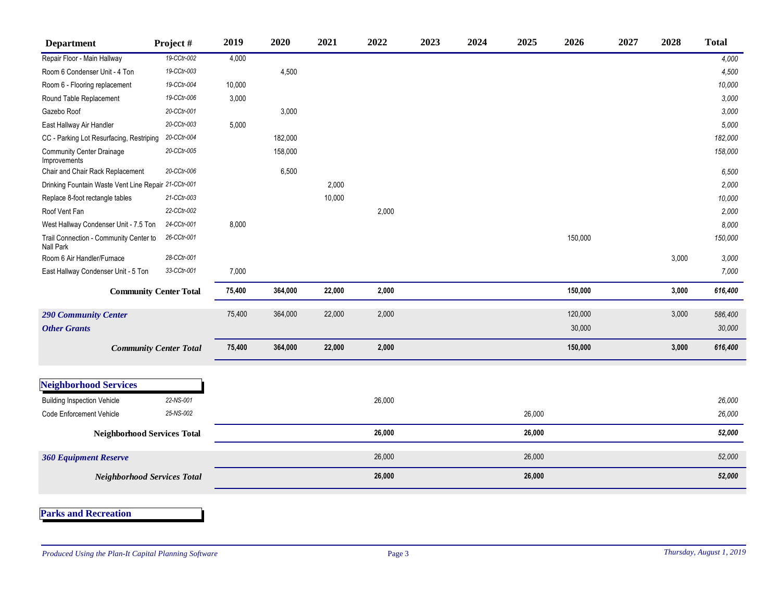| <b>Department</b>                                    | Project#                      | 2019   | 2020    | 2021   | 2022   | 2023 | 2024 | 2025   | 2026    | 2027 | 2028  | <b>Total</b> |
|------------------------------------------------------|-------------------------------|--------|---------|--------|--------|------|------|--------|---------|------|-------|--------------|
| Repair Floor - Main Hallway                          | 19-CCtr-002                   | 4,000  |         |        |        |      |      |        |         |      |       | 4,000        |
| Room 6 Condenser Unit - 4 Ton                        | 19-CCtr-003                   |        | 4,500   |        |        |      |      |        |         |      |       | 4,500        |
| Room 6 - Flooring replacement                        | 19-CCtr-004                   | 10,000 |         |        |        |      |      |        |         |      |       | 10,000       |
| Round Table Replacement                              | 19-CCtr-006                   | 3,000  |         |        |        |      |      |        |         |      |       | 3,000        |
| Gazebo Roof                                          | 20-CCtr-001                   |        | 3,000   |        |        |      |      |        |         |      |       | 3,000        |
| East Hallway Air Handler                             | 20-CCtr-003                   | 5,000  |         |        |        |      |      |        |         |      |       | 5,000        |
| CC - Parking Lot Resurfacing, Restriping             | 20-CCtr-004                   |        | 182,000 |        |        |      |      |        |         |      |       | 182,000      |
| <b>Community Center Drainage</b><br>Improvements     | 20-CCtr-005                   |        | 158,000 |        |        |      |      |        |         |      |       | 158,000      |
| Chair and Chair Rack Replacement                     | 20-CCtr-006                   |        | 6,500   |        |        |      |      |        |         |      |       | 6,500        |
| Drinking Fountain Waste Vent Line Repair 21-CCtr-001 |                               |        |         | 2,000  |        |      |      |        |         |      |       | 2,000        |
| Replace 8-foot rectangle tables                      | 21-CCtr-003                   |        |         | 10,000 |        |      |      |        |         |      |       | 10,000       |
| Roof Vent Fan                                        | 22-CCtr-002                   |        |         |        | 2,000  |      |      |        |         |      |       | 2,000        |
| West Hallway Condenser Unit - 7.5 Ton                | 24-CCtr-001                   | 8,000  |         |        |        |      |      |        |         |      |       | 8,000        |
| Trail Connection - Community Center to<br>Nall Park  | 26-CCtr-001                   |        |         |        |        |      |      |        | 150,000 |      |       | 150,000      |
| Room 6 Air Handler/Furnace                           | 28-CCtr-001                   |        |         |        |        |      |      |        |         |      | 3,000 | 3,000        |
| East Hallway Condenser Unit - 5 Ton                  | 33-CCtr-001                   | 7,000  |         |        |        |      |      |        |         |      |       | 7,000        |
| <b>Community Center Total</b>                        |                               | 75,400 | 364,000 | 22,000 | 2,000  |      |      |        | 150,000 |      | 3,000 | 616,400      |
| <b>290 Community Center</b>                          |                               | 75,400 | 364,000 | 22,000 | 2,000  |      |      |        | 120,000 |      | 3,000 | 586,400      |
| <b>Other Grants</b>                                  |                               |        |         |        |        |      |      |        | 30,000  |      |       | 30,000       |
|                                                      | <b>Community Center Total</b> | 75,400 | 364,000 | 22,000 | 2,000  |      |      |        | 150,000 |      | 3,000 | 616,400      |
|                                                      |                               |        |         |        |        |      |      |        |         |      |       |              |
| Neighborhood Services                                |                               |        |         |        |        |      |      |        |         |      |       |              |
| <b>Building Inspection Vehicle</b>                   | 22-NS-001                     |        |         |        | 26,000 |      |      |        |         |      |       | 26,000       |
| <b>Code Enforcement Vehicle</b>                      | 25-NS-002                     |        |         |        |        |      |      | 26,000 |         |      |       | 26,000       |
| <b>Neighborhood Services Total</b>                   |                               |        |         |        | 26,000 |      |      | 26,000 |         |      |       | 52,000       |
| <b>360 Equipment Reserve</b>                         |                               |        |         |        | 26,000 |      |      | 26,000 |         |      |       | 52,000       |
| <b>Neighborhood Services Total</b>                   |                               |        |         |        | 26,000 |      |      | 26,000 |         |      |       | 52,000       |
|                                                      |                               |        |         |        |        |      |      |        |         |      |       |              |

**Parks and Recreation**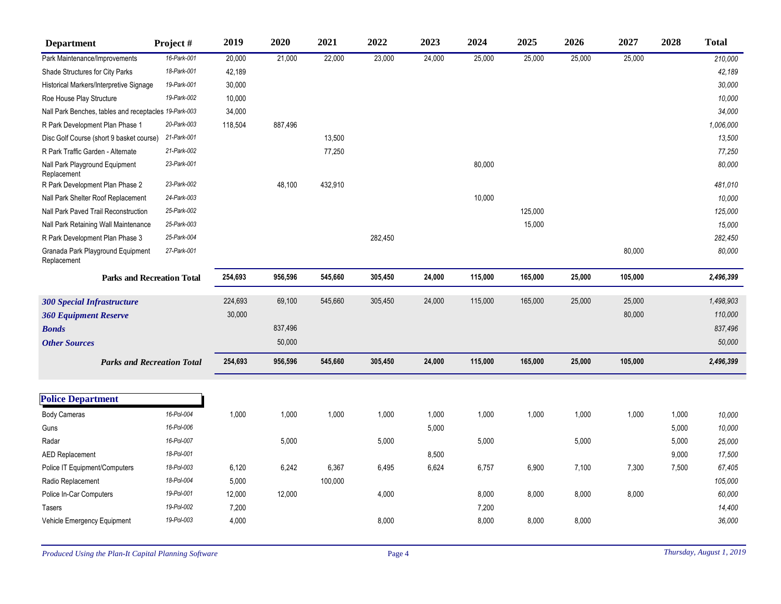| <b>Department</b>                                     | Project#                          | 2019    | 2020    | 2021    | 2022    | 2023   | 2024    | 2025    | 2026   | 2027    | 2028  | <b>Total</b> |
|-------------------------------------------------------|-----------------------------------|---------|---------|---------|---------|--------|---------|---------|--------|---------|-------|--------------|
| Park Maintenance/Improvements                         | 16-Park-001                       | 20,000  | 21,000  | 22,000  | 23,000  | 24,000 | 25,000  | 25,000  | 25,000 | 25,000  |       | 210,000      |
| Shade Structures for City Parks                       | 18-Park-001                       | 42,189  |         |         |         |        |         |         |        |         |       | 42,189       |
| Historical Markers/Interpretive Signage               | 19-Park-001                       | 30,000  |         |         |         |        |         |         |        |         |       | 30,000       |
| Roe House Play Structure                              | 19-Park-002                       | 10,000  |         |         |         |        |         |         |        |         |       | 10,000       |
| Nall Park Benches, tables and receptacles 19-Park-003 |                                   | 34,000  |         |         |         |        |         |         |        |         |       | 34,000       |
| R Park Development Plan Phase 1                       | 20-Park-003                       | 118,504 | 887,496 |         |         |        |         |         |        |         |       | 1,006,000    |
| Disc Golf Course (short 9 basket course)              | 21-Park-001                       |         |         | 13,500  |         |        |         |         |        |         |       | 13,500       |
| R Park Traffic Garden - Alternate                     | 21-Park-002                       |         |         | 77,250  |         |        |         |         |        |         |       | 77,250       |
| Nall Park Playground Equipment<br>Replacement         | 23-Park-001                       |         |         |         |         |        | 80,000  |         |        |         |       | 80,000       |
| R Park Development Plan Phase 2                       | 23-Park-002                       |         | 48,100  | 432,910 |         |        |         |         |        |         |       | 481,010      |
| Nall Park Shelter Roof Replacement                    | 24-Park-003                       |         |         |         |         |        | 10,000  |         |        |         |       | 10,000       |
| Nall Park Paved Trail Reconstruction                  | 25-Park-002                       |         |         |         |         |        |         | 125,000 |        |         |       | 125,000      |
| Nall Park Retaining Wall Maintenance                  | 25-Park-003                       |         |         |         |         |        |         | 15,000  |        |         |       | 15,000       |
| R Park Development Plan Phase 3                       | 25-Park-004                       |         |         |         | 282,450 |        |         |         |        |         |       | 282,450      |
| Granada Park Playground Equipment<br>Replacement      | 27-Park-001                       |         |         |         |         |        |         |         |        | 80,000  |       | 80,000       |
|                                                       | <b>Parks and Recreation Total</b> | 254,693 | 956,596 | 545,660 | 305,450 | 24,000 | 115,000 | 165,000 | 25,000 | 105,000 |       | 2,496,399    |
| <b>300 Special Infrastructure</b>                     |                                   | 224,693 | 69,100  | 545,660 | 305,450 | 24,000 | 115,000 | 165,000 | 25,000 | 25,000  |       | 1,498,903    |
| <b>360 Equipment Reserve</b>                          |                                   | 30,000  |         |         |         |        |         |         |        | 80,000  |       | 110,000      |
| <b>Bonds</b>                                          |                                   |         | 837,496 |         |         |        |         |         |        |         |       | 837,496      |
| <b>Other Sources</b>                                  |                                   |         | 50,000  |         |         |        |         |         |        |         |       | 50,000       |
|                                                       | <b>Parks and Recreation Total</b> | 254,693 | 956,596 | 545,660 | 305,450 | 24,000 | 115,000 | 165,000 | 25,000 | 105,000 |       | 2,496,399    |
|                                                       |                                   |         |         |         |         |        |         |         |        |         |       |              |
| <b>Police Department</b>                              |                                   |         |         |         |         |        |         |         |        |         |       |              |
| <b>Body Cameras</b>                                   | 16-Pol-004                        | 1,000   | 1,000   | 1,000   | 1,000   | 1,000  | 1,000   | 1,000   | 1,000  | 1,000   | 1,000 | 10,000       |
| Guns                                                  | 16-Pol-006                        |         |         |         |         | 5,000  |         |         |        |         | 5,000 | 10,000       |
| Radar                                                 | 16-Pol-007                        |         | 5,000   |         | 5,000   |        | 5,000   |         | 5,000  |         | 5,000 | 25,000       |
| <b>AED Replacement</b>                                | 18-Pol-001                        |         |         |         |         | 8,500  |         |         |        |         | 9,000 | 17,500       |
| Police IT Equipment/Computers                         | 18-Pol-003                        | 6,120   | 6,242   | 6,367   | 6,495   | 6,624  | 6,757   | 6,900   | 7,100  | 7,300   | 7,500 | 67,405       |
| Radio Replacement                                     | 18-Pol-004                        | 5,000   |         | 100,000 |         |        |         |         |        |         |       | 105,000      |
| Police In-Car Computers                               | 19-Pol-001                        | 12,000  | 12,000  |         | 4,000   |        | 8,000   | 8,000   | 8,000  | 8,000   |       | 60,000       |
| Tasers                                                | 19-Pol-002                        | 7,200   |         |         |         |        | 7,200   |         |        |         |       | 14,400       |
| Vehicle Emergency Equipment                           | 19-Pol-003                        | 4,000   |         |         | 8,000   |        | 8,000   | 8,000   | 8,000  |         |       | 36,000       |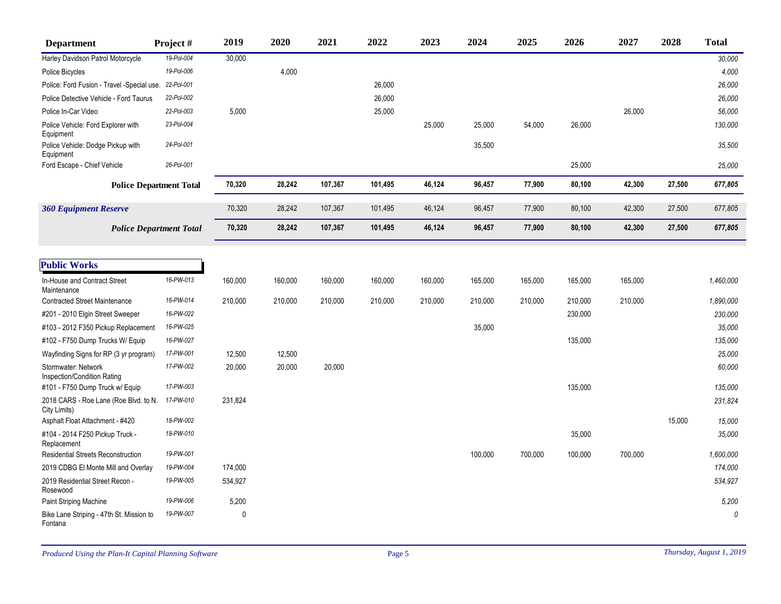| <b>Department</b>                                     | Project#   | 2019        | 2020    | 2021    | 2022    | 2023    | 2024    | 2025    | 2026    | 2027    | 2028   | <b>Total</b> |
|-------------------------------------------------------|------------|-------------|---------|---------|---------|---------|---------|---------|---------|---------|--------|--------------|
| Harley Davidson Patrol Motorcycle                     | 19-Pol-004 | 30,000      |         |         |         |         |         |         |         |         |        | 30,000       |
| Police Bicycles                                       | 19-Pol-006 |             | 4,000   |         |         |         |         |         |         |         |        | 4,000        |
| Police: Ford Fusion - Travel -Special use. 22-Pol-001 |            |             |         |         | 26,000  |         |         |         |         |         |        | 26,000       |
| Police Detective Vehicle - Ford Taurus                | 22-Pol-002 |             |         |         | 26,000  |         |         |         |         |         |        | 26,000       |
| Police In-Car Video                                   | 22-Pol-003 | 5,000       |         |         | 25,000  |         |         |         |         | 26,000  |        | 56,000       |
| Police Vehicle: Ford Explorer with<br>Equipment       | 23-Pol-004 |             |         |         |         | 25,000  | 25,000  | 54,000  | 26,000  |         |        | 130,000      |
| Police Vehicle: Dodge Pickup with<br>Equipment        | 24-Pol-001 |             |         |         |         |         | 35,500  |         |         |         |        | 35,500       |
| Ford Escape - Chief Vehicle                           | 26-Pol-001 |             |         |         |         |         |         |         | 25,000  |         |        | 25,000       |
| <b>Police Department Total</b>                        |            | 70,320      | 28,242  | 107,367 | 101,495 | 46,124  | 96,457  | 77,900  | 80,100  | 42,300  | 27,500 | 677,805      |
| <b>360 Equipment Reserve</b>                          |            | 70,320      | 28,242  | 107,367 | 101,495 | 46,124  | 96,457  | 77,900  | 80,100  | 42,300  | 27,500 | 677,805      |
| <b>Police Department Total</b>                        |            | 70,320      | 28,242  | 107,367 | 101,495 | 46,124  | 96,457  | 77,900  | 80,100  | 42,300  | 27,500 | 677,805      |
| <b>Public Works</b>                                   |            |             |         |         |         |         |         |         |         |         |        |              |
|                                                       |            |             |         |         |         |         |         |         |         |         |        |              |
| In-House and Contract Street<br>Maintenance           | 16-PW-013  | 160,000     | 160,000 | 160,000 | 160,000 | 160,000 | 165,000 | 165,000 | 165,000 | 165,000 |        | 1,460,000    |
| <b>Contracted Street Maintenance</b>                  | 16-PW-014  | 210,000     | 210,000 | 210,000 | 210,000 | 210,000 | 210,000 | 210,000 | 210,000 | 210,000 |        | 1,890,000    |
| #201 - 2010 Elgin Street Sweeper                      | 16-PW-022  |             |         |         |         |         |         |         | 230,000 |         |        | 230,000      |
| #103 - 2012 F350 Pickup Replacement                   | 16-PW-025  |             |         |         |         |         | 35,000  |         |         |         |        | 35,000       |
| #102 - F750 Dump Trucks W/ Equip                      | 16-PW-027  |             |         |         |         |         |         |         | 135,000 |         |        | 135,000      |
| Wayfinding Signs for RP (3 yr program)                | 17-PW-001  | 12,500      | 12,500  |         |         |         |         |         |         |         |        | 25,000       |
| Stormwater: Network<br>Inspection/Condition Rating    | 17-PW-002  | 20,000      | 20,000  | 20,000  |         |         |         |         |         |         |        | 60,000       |
| #101 - F750 Dump Truck w/ Equip                       | 17-PW-003  |             |         |         |         |         |         |         | 135,000 |         |        | 135,000      |
| 2018 CARS - Roe Lane (Roe Blvd. to N.<br>City Limits) | 17-PW-010  | 231,824     |         |         |         |         |         |         |         |         |        | 231,824      |
| Asphalt Float Attachment - #420                       | 18-PW-002  |             |         |         |         |         |         |         |         |         | 15,000 | 15,000       |
| #104 - 2014 F250 Pickup Truck -<br>Replacement        | 18-PW-010  |             |         |         |         |         |         |         | 35,000  |         |        | 35,000       |
| <b>Residential Streets Reconstruction</b>             | 19-PW-001  |             |         |         |         |         | 100,000 | 700,000 | 100,000 | 700,000 |        | 1,600,000    |
| 2019 CDBG El Monte Mill and Overlay                   | 19-PW-004  | 174,000     |         |         |         |         |         |         |         |         |        | 174,000      |
| 2019 Residential Street Recon -<br>Rosewood           | 19-PW-005  | 534,927     |         |         |         |         |         |         |         |         |        | 534,927      |
| Paint Striping Machine                                | 19-PW-006  | 5,200       |         |         |         |         |         |         |         |         |        | 5,200        |
| Bike Lane Striping - 47th St. Mission to<br>Fontana   | 19-PW-007  | $\mathbf 0$ |         |         |         |         |         |         |         |         |        | $\theta$     |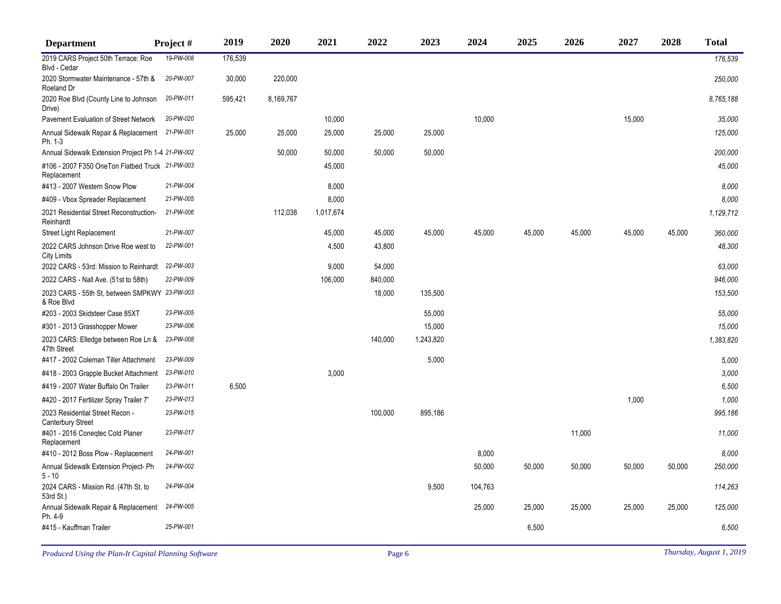| <b>Department</b>                                              | Project#  | 2019    | 2020      | 2021      | 2022    | 2023      | 2024    | 2025   | 2026   | 2027   | 2028   | <b>Total</b> |
|----------------------------------------------------------------|-----------|---------|-----------|-----------|---------|-----------|---------|--------|--------|--------|--------|--------------|
| 2019 CARS Project 50th Terrace: Roe<br>Blvd - Cedar            | 19-PW-008 | 176,539 |           |           |         |           |         |        |        |        |        | 176,539      |
| 2020 Stormwater Maintenance - 57th &<br>Roeland Dr             | 20-PW-007 | 30,000  | 220,000   |           |         |           |         |        |        |        |        | 250,000      |
| 2020 Roe Blvd (County Line to Johnson<br>Drive)                | 20-PW-011 | 595,421 | 8,169,767 |           |         |           |         |        |        |        |        | 8,765,188    |
| Pavement Evaluation of Street Network                          | 20-PW-020 |         |           | 10,000    |         |           | 10,000  |        |        | 15,000 |        | 35,000       |
| Annual Sidewalk Repair & Replacement 21-PW-001<br>Ph. 1-3      |           | 25,000  | 25,000    | 25,000    | 25,000  | 25,000    |         |        |        |        |        | 125,000      |
| Annual Sidewalk Extension Project Ph 1-4 21-PW-002             |           |         | 50,000    | 50,000    | 50,000  | 50,000    |         |        |        |        |        | 200,000      |
| #106 - 2007 F350 OneTon Flatbed Truck 21-PW-003<br>Replacement |           |         |           | 45,000    |         |           |         |        |        |        |        | 45,000       |
| #413 - 2007 Western Snow Plow                                  | 21-PW-004 |         |           | 8,000     |         |           |         |        |        |        |        | 8,000        |
| #409 - Vbox Spreader Replacement                               | 21-PW-005 |         |           | 8,000     |         |           |         |        |        |        |        | 8,000        |
| 2021 Residential Street Reconstruction-<br>Reinhardt           | 21-PW-006 |         | 112,038   | 1,017,674 |         |           |         |        |        |        |        | 1,129,712    |
| <b>Street Light Replacement</b>                                | 21-PW-007 |         |           | 45,000    | 45,000  | 45,000    | 45,000  | 45,000 | 45,000 | 45,000 | 45,000 | 360,000      |
| 2022 CARS Johnson Drive Roe west to<br><b>City Limits</b>      | 22-PW-001 |         |           | 4,500     | 43,800  |           |         |        |        |        |        | 48,300       |
| 2022 CARS - 53rd: Mission to Reinhardt                         | 22-PW-003 |         |           | 9,000     | 54,000  |           |         |        |        |        |        | 63,000       |
| 2022 CARS - Nall Ave. (51st to 58th)                           | 22-PW-009 |         |           | 106,000   | 840,000 |           |         |        |        |        |        | 946,000      |
| 2023 CARS - 55th St. between SMPKWY 23-PW-003<br>& Roe Blvd    |           |         |           |           | 18,000  | 135,500   |         |        |        |        |        | 153,500      |
| #203 - 2003 Skidsteer Case 85XT                                | 23-PW-005 |         |           |           |         | 55,000    |         |        |        |        |        | 55,000       |
| #301 - 2013 Grasshopper Mower                                  | 23-PW-006 |         |           |           |         | 15,000    |         |        |        |        |        | 15,000       |
| 2023 CARS: Elledge between Roe Ln &<br>47th Street             | 23-PW-008 |         |           |           | 140,000 | 1,243,820 |         |        |        |        |        | 1,383,820    |
| #417 - 2002 Coleman Tiller Attachment                          | 23-PW-009 |         |           |           |         | 5,000     |         |        |        |        |        | 5,000        |
| #418 - 2003 Grapple Bucket Attachment                          | 23-PW-010 |         |           | 3,000     |         |           |         |        |        |        |        | 3,000        |
| #419 - 2007 Water Buffalo On Trailer                           | 23-PW-011 | 6,500   |           |           |         |           |         |        |        |        |        | 6,500        |
| #420 - 2017 Fertilizer Spray Trailer 7'                        | 23-PW-013 |         |           |           |         |           |         |        |        | 1,000  |        | 1,000        |
| 2023 Residential Street Recon -<br>Canterbury Street           | 23-PW-015 |         |           |           | 100,000 | 895,186   |         |        |        |        |        | 995,186      |
| #401 - 2016 Coneqtec Cold Planer<br>Replacement                | 23-PW-017 |         |           |           |         |           |         |        | 11,000 |        |        | 11,000       |
| #410 - 2012 Boss Plow - Replacement                            | 24-PW-001 |         |           |           |         |           | 8,000   |        |        |        |        | 8,000        |
| Annual Sidewalk Extension Project- Ph<br>$5 - 10$              | 24-PW-002 |         |           |           |         |           | 50,000  | 50,000 | 50,000 | 50,000 | 50,000 | 250,000      |
| 2024 CARS - Mission Rd. (47th St. to<br>53rd St.)              | 24-PW-004 |         |           |           |         | 9,500     | 104,763 |        |        |        |        | 114,263      |
| Annual Sidewalk Repair & Replacement<br>Ph. 4-9                | 24-PW-005 |         |           |           |         |           | 25,000  | 25,000 | 25,000 | 25,000 | 25,000 | 125,000      |
| #415 - Kauffman Trailer                                        | 25-PW-001 |         |           |           |         |           |         | 6,500  |        |        |        | 6,500        |